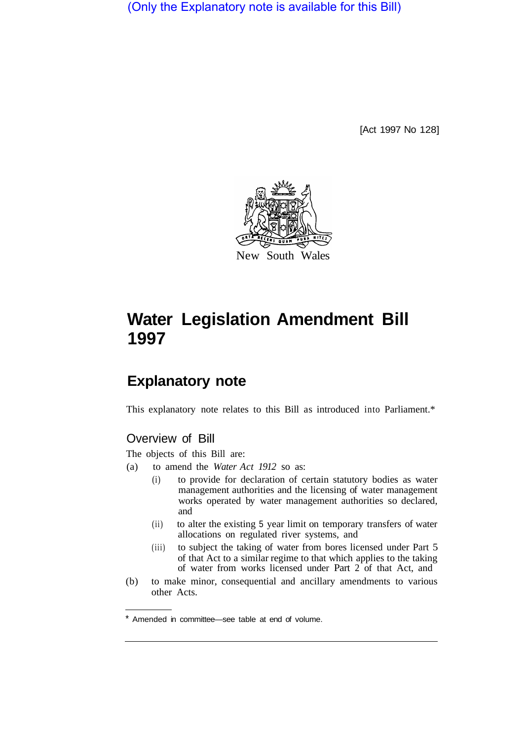(Only the Explanatory note is available for this Bill)

[Act 1997 No 128]



# **Water Legislation Amendment Bill 1997**

## **Explanatory note**

This explanatory note relates to this Bill as introduced into Parliament.\*

### Overview of Bill

The objects of this Bill are:

- (a) to amend the *Water Act 1912* so as:
	- (i) to provide for declaration of certain statutory bodies as water management authorities and the licensing of water management works operated by water management authorities so declared, and
	- (ii) to alter the existing 5 year limit on temporary transfers of water allocations on regulated river systems, and
	- (iii) to subject the taking of water from bores licensed under Part 5 of that Act to a similar regime to that which applies to the taking of water from works licensed under Part 2 of that Act, and
- (b) to make minor, consequential and ancillary amendments to various other Acts.

<sup>\*</sup> Amended in committee—see table at end of volume.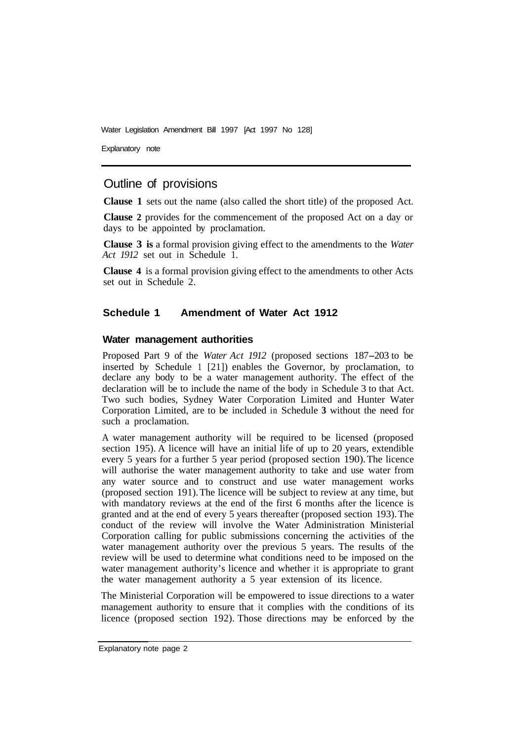Water Legislation Amendment Bill 1997 [Act 1997 No 128]

Explanatory note

#### Outline of provisions

**Clause 1** sets out the name (also called the short title) of the proposed Act.

**Clause 2** provides for the commencement of the proposed Act on a day or days to be appointed by proclamation.

**Clause 3 is** a formal provision giving effect to the amendments to the *Water Act 1912* set out in Schedule 1.

**Clause 4** is a formal provision giving effect to the amendments to other Acts set out in Schedule 2.

#### **Schedule 1 Amendment of Water Act 1912**

#### **Water management authorities**

Proposed Part 9 of the *Water Act 1912* (proposed sections 187-203 to be inserted by Schedule 1 [21]) enables the Governor, by proclamation, to declare any body to be a water management authority. The effect of the declaration will be to include the name of the body in Schedule 3 to that Act. Two such bodies, Sydney Water Corporation Limited and Hunter Water Corporation Limited, are to be included in Schedule **3** without the need for such a proclamation.

A water management authority will be required to be licensed (proposed section 195). A licence will have an initial life of up to 20 years, extendible every 5 years for a further 5 year period (proposed section 190). The licence will authorise the water management authority to take and use water from any water source and to construct and use water management works (proposed section 191). The licence will be subject to review at any time, but with mandatory reviews at the end of the first 6 months after the licence is granted and at the end of every 5 years thereafter (proposed section 193). The conduct of the review will involve the Water Administration Ministerial Corporation calling for public submissions concerning the activities of the water management authority over the previous 5 years. The results of the review will be used to determine what conditions need to be imposed on the water management authority's licence and whether it is appropriate to grant the water management authority a 5 year extension of its licence.

The Ministerial Corporation will be empowered to issue directions to a water management authority to ensure that it complies with the conditions of its licence (proposed section 192). Those directions may be enforced by the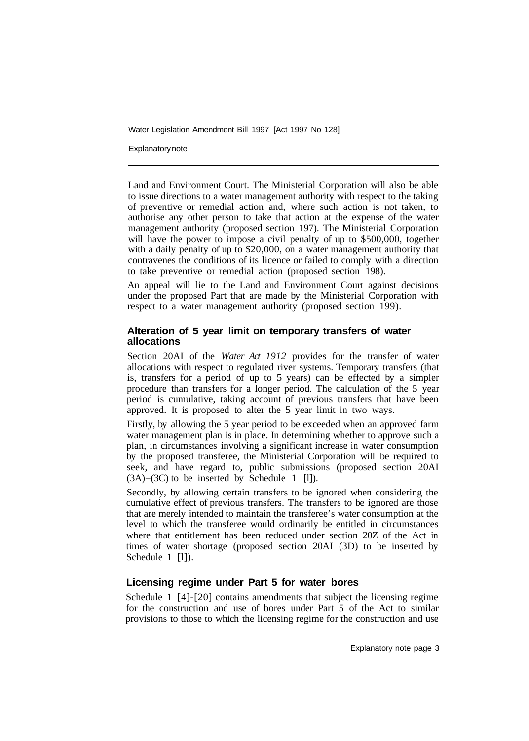Water Legislation Amendment Bill 1997 [Act 1997 No 128]

**Explanatory note** 

Land and Environment Court. The Ministerial Corporation will also be able to issue directions to a water management authority with respect to the taking of preventive or remedial action and, where such action is not taken, to authorise any other person to take that action at the expense of the water management authority (proposed section 197). The Ministerial Corporation will have the power to impose a civil penalty of up to \$500,000, together with a daily penalty of up to \$20,000, on a water management authority that contravenes the conditions of its licence or failed to comply with a direction to take preventive or remedial action (proposed section 198).

An appeal will lie to the Land and Environment Court against decisions under the proposed Part that are made by the Ministerial Corporation with respect to a water management authority (proposed section 199).

#### **Alteration of 5 year limit on temporary transfers of water allocations**

Section 20AI of the *Water Act 1912* provides for the transfer of water allocations with respect to regulated river systems. Temporary transfers (that is, transfers for a period of up to 5 years) can be effected by a simpler procedure than transfers for a longer period. The calculation of the 5 year period is cumulative, taking account of previous transfers that have been approved. It is proposed to alter the 5 year limit in two ways.

Firstly, by allowing the 5 year period to be exceeded when an approved farm water management plan is in place. In determining whether to approve such a plan, in circumstances involving a significant increase in water consumption by the proposed transferee, the Ministerial Corporation will be required to seek, and have regard to, public submissions (proposed section 20AI  $(3A)$ – $(3C)$  to be inserted by Schedule 1 [1]).

Secondly, by allowing certain transfers to be ignored when considering the cumulative effect of previous transfers. The transfers to be ignored are those that are merely intended to maintain the transferee's water consumption at the level to which the transferee would ordinarily be entitled in circumstances where that entitlement has been reduced under section 20Z of the Act in times of water shortage (proposed section 20AI (3D) to be inserted by Schedule 1 [l]).

#### **Licensing regime under Part 5 for water bores**

Schedule 1 [4]-[20] contains amendments that subject the licensing regime for the construction and use of bores under Part 5 of the Act to similar provisions to those to which the licensing regime for the construction and use